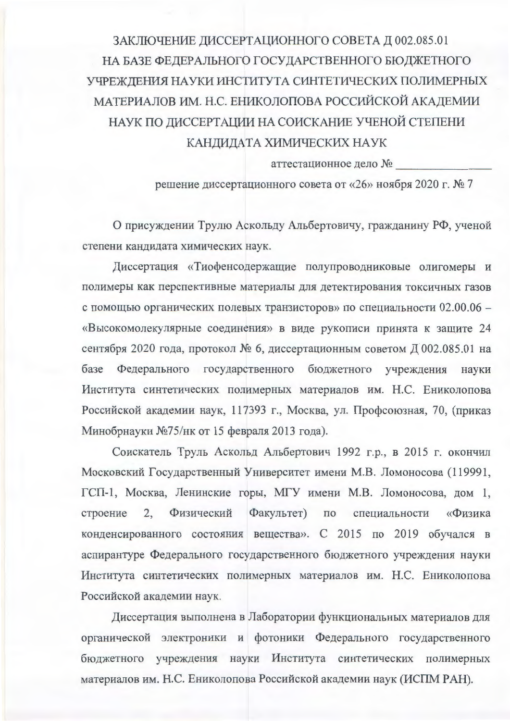## ЗАКЛЮЧЕНИЕ ДИССЕРТАЦИОННОГО СОВЕТА Д 002.085.01 НА БАЗЕ ФЕДЕРАЛЬНОГО ГОСУДАРСТВЕННОГО БЮДЖЕТНОГО УЧРЕЖДЕНИЯ НАУКИ ИНСТИТУТА СИНТЕТИЧЕСКИХ ПОЛИМЕРНЫХ МАТЕРИАЛОВ ИМ. Н.С. ЕНИКОЛОПОВА РОССИЙСКОЙ АКАДЕМИИ НАУК ПО ДИССЕРТАЦИИ НА СОИСКАНИЕ УЧЕНОЙ СТЕПЕНИ КАНДИДАТА ХИМИЧЕСКИХ НАУК

аттестационное дело №

решение диссертационного совета от «26» ноября 2020 г. № 7

О присуждении Трулю Аскольду Альбертовичу, гражданину РФ, ученой степени кандидата химических наук.

Диссертация «Тиофенсодержащие полупроводниковые олигомеры и полимеры как перспективные материалы для детектирования токсичных газов с помощью органических полевых транзисторов» по специальности 02.00.06 -«Высокомолекулярные соединения» в виде рукописи принята к защите 24 сентября 2020 года, протокол № 6, диссертационным советом Д 002.085.01 на базе Федерального государственного бюджетного учреждения науки Института синтетических полимерных материалов им. Н.С. Ениколопова Российской академии наук, 117393 г., Москва, ул. Профсоюзная, 70, (приказ Минобрнауки №75/нк от 15 февраля 2013 года).

Соискатель Труль Аскольд Альбертович 1992 г.р., в 2015 г. окончил Московский Государственный Университет имени М.В. Ломоносова (119991, ГСП-1, Москва, Ленинские горы, МГУ имени М.В. Ломоносова, дом 1, строение 2, Физический Факультет) по специальности «Физика конденсированного состояния вещества». С 2015 по 2019 обучался в аспирантуре Федерального государственного бюджетного учреждения науки Института синтетических полимерных материалов им. Н.С. Ениколопова Российской академии наук.

Диссертация выполнена в Лаборатории функциональных материалов для органической электроники и фотоники Федерального государственного бюджетного учреждения науки Института синтетических полимерных материалов им. Н.С. Ениколопова Российской академии наук (ИСПМ РАН).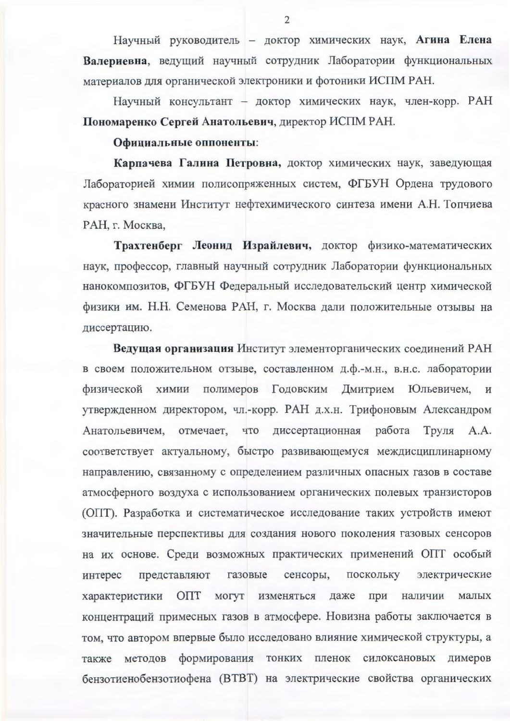Научный руководитель - доктор химических наук, Агина Елена Валериевна, ведущий научный сотрудник Лаборатории функциональных материалов для органической электроники и фотоники ИСПМ РАН.

Научный консультант - доктор химических наук, член-корр. РАН Пономаренко Сергей Анатольевич, директор ИСПМ РАН.

## Официальные оппоненты:

Карпачева Галина Петровна, доктор химических наук, заведующая Лабораторией химии полисопряженных систем, ФГБУН Ордена трудового красного знамени Институт нефтехимического синтеза имени А.Н. Топчиева РАН, г. Москва,

Трахтенберг Леонид Израйлевич, доктор физико-математических наук, профессор, главный научный сотрудник Лаборатории функциональных нанокомпозитов, ФГБУН Федеральный исследовательский центр химической физики им. Н.Н. Семенова РАН, г. Москва дали положительные отзывы на диссертацию.

Ведущая организация Институт элементорганических соединений РАН в своем положительном отзыве, составленном д.ф.-м.н., в.н.с. лаборатории физической химии полимеров Годовским Дмитрием Юльевичем, и утвержденном директором, чл.-корр. РАН д.х.н. Трифоновым Александром Анатольевичем, отмечает, что диссертационная работа Труля А.А. соответствует актуальному, быстро развивающемуся междисциплинарному направлению, связанному с определением различных опасных газов в составе атмосферного воздуха с использованием органических полевых транзисторов (ОПТ). Разработка и систематическое исследование таких устройств имеют значительные перспективы для создания нового поколения газовых сенсоров на их основе. Среди возможных практических применений ОПТ особый сенсоры, поскольку представляют газовые электрические интерес ОПТ могут изменяться даже при наличии характеристики малых концентраций примесных газов в атмосфере. Новизна работы заключается в том, что автором впервые было исследовано влияние химической структуры, а методов формирования тонких пленок силоксановых димеров также бензотиенобензотиофена (ВТВТ) на электрические свойства органических

 $\overline{2}$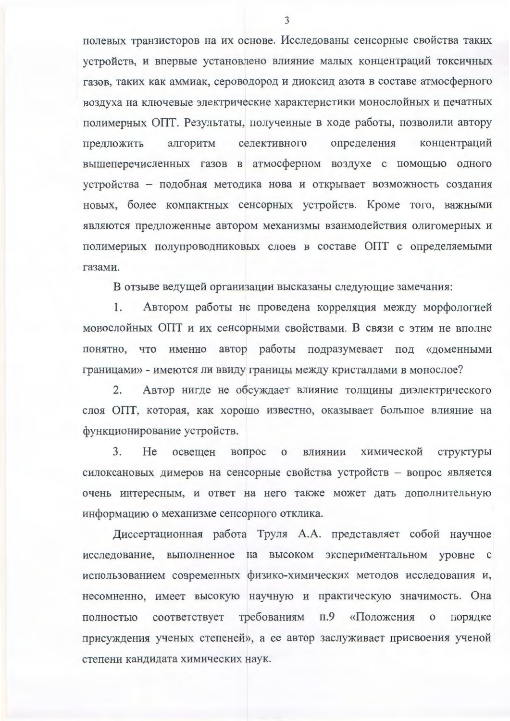полевых транзисторов на их основе. Исследованы сенсорные свойства таких устройств, и впервые установлено влияние малых концентраций токсичных газов, таких как аммиак, сероводород и диоксид азота в составе атмосферного воздуха на ключевые электрические характеристики монослойных и печатных полимерных ОПТ. Результаты, полученные в ходе работы, позволили автору предложить алгоритм селективного определения концентраций вышеперечисленных газов в атмосферном воздухе с помощью одного устройства - подобная методика нова и открывает возможность создания новых, более компактных сенсорных устройств. Кроме того, важными являются предложенные автором механизмы взаимодействия олигомерных и полимерных полупроводниковых слоев в составе ОПТ с определяемыми газами.

В отзыве ведущей организации высказаны следующие замечания:

1. Автором работы не проведена корреляция между морфологией монослойных ОПТ и их сенсорными свойствами. В связи с этим не вполне понятно, что именно автор работы подразумевает под «доменными границами» - имеются ли ввиду границы между кристаллами в монослое?

Автор нигде не обсуждает влияние толщины диэлектрического  $2.$ слоя ОПТ, которая, как хорошо известно, оказывает большое влияние на функционирование устройств.

3. Не освещен вопрос о **ВЛИЯНИИ** химической структуры силоксановых димеров на сенсорные свойства устройств - вопрос является очень интересным, и ответ на него также может дать дополнительную информацию о механизме сенсорного отклика.

Диссертационная работа Труля А.А. представляет собой научное исследование, выполненное на высоком экспериментальном уровне с использованием современных физико-химических методов исследования и, несомненно, имеет высокую научную и практическую значимость. Она соответствует требованиям «Положения п.9 полностью  $\mathbf{o}$ порядке присуждения ученых степеней», а ее автор заслуживает присвоения ученой степени кандидата химических наук.

3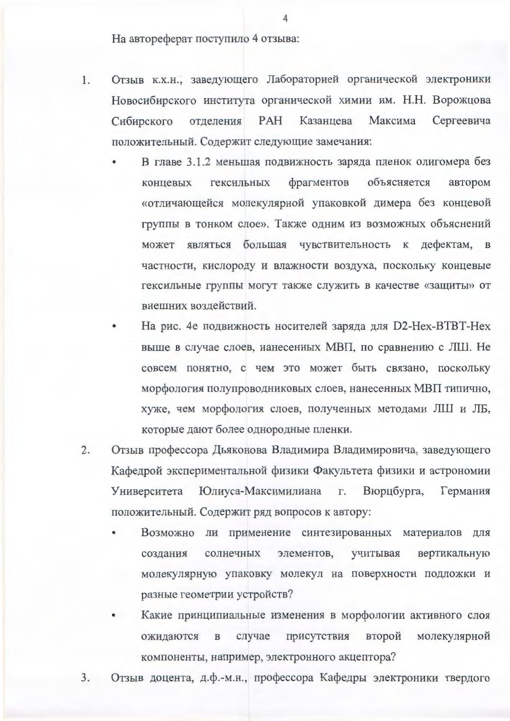На автореферат поступило 4 отзыва:

- Отзыв к.х.н., заведующего Лабораторией органической электроники 1. Новосибирского института органической химии им. Н.Н. Ворожцова PAH Казанцева Сибирского отделения Максима Сергеевича положительный. Содержит следующие замечания:
	- В главе 3.1.2 меньшая подвижность заряда пленок олигомера без гексильных фрагментов объясняется автором концевых «отличающейся молекулярной упаковкой димера без концевой группы в тонком слое». Также одним из возможных объяснений может являться большая чувствительность к дефектам, в частности, кислороду и влажности воздуха, поскольку концевые гексильные группы могут также служить в качестве «защиты» от внешних воздействий.
	- На рис. 4е подвижность носителей заряда для D2-Hex-BTBT-Hex выше в случае слоев, нанесенных МВП, по сравнению с ЛШ. Не совсем понятно, с чем это может быть связано, поскольку морфология полупроводниковых слоев, нанесенных МВП типично, хуже, чем морфология слоев, полученных методами ЛШ и ЛБ, которые дают более однородные пленки.
- $2.$ Отзыв профессора Дьяконова Владимира Владимировича, заведующего Кафедрой экспериментальной физики Факультета физики и астрономии Юлиуса-Максимилиана г. Вюрцбурга, Университета Германия положительный. Содержит ряд вопросов к автору:
	- Возможно ли применение синтезированных материалов для создания солнечных элементов, учитывая вертикальную молекулярную упаковку молекул на поверхности подложки и разные геометрии устройств?
	- Какие принципиальные изменения в морфологии активного слоя ожидаются присутствия второй молекулярной  $\, {\bf B}$ случае компоненты, например, электронного акцептора?
- 3. Отзыв доцента, д.ф.-м.н., профессора Кафедры электроники твердого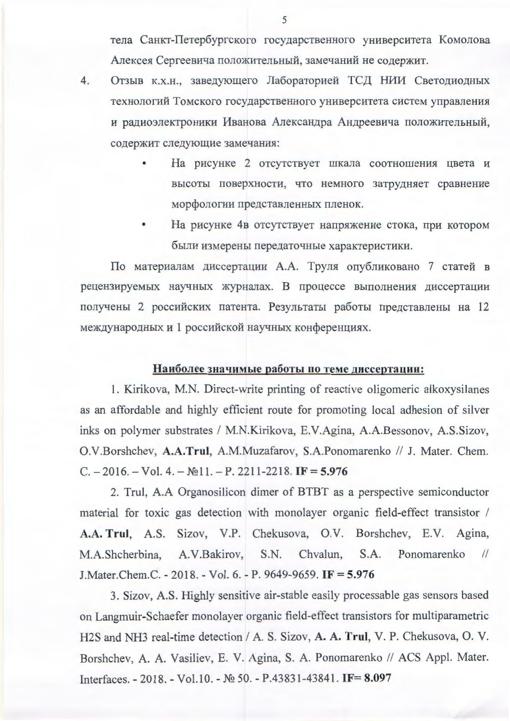тела Санкт-Петербургского государственного университета Комолова Алексея Сергеевича положительный, замечаний не содержит.

- $4.$ Отзыв к.х.н., заведующего Лабораторией ТСД НИИ Светодиодных технологий Томского государственного университета систем управления и радиоэлектроники Иванова Александра Андреевича положительный, содержит следующие замечания:
	- На рисунке 2 отсутствует шкала соотношения цвета и высоты поверхности, что немного затрудняет сравнение морфологии представленных пленок.
	- На рисунке 4в отсутствует напряжение стока, при котором были измерены передаточные характеристики.

По материалам диссертации А.А. Труля опубликовано 7 статей в рецензируемых научных журналах. В процессе выполнения диссертации получены 2 российских патента. Результаты работы представлены на 12 международных и 1 российской научных конференциях.

## Наиболее значимые работы по теме диссертации:

1. Kirikova, M.N. Direct-write printing of reactive oligomeric alkoxysilanes as an affordable and highly efficient route for promoting local adhesion of silver inks on polymer substrates / M.N.Kirikova, E.V.Agina, A.A.Bessonov, A.S.Sizov, O.V.Borshchev, A.A.Trul, A.M.Muzafarov, S.A.Ponomarenko // J. Mater. Chem.  $C. -2016. - Vol. 4. - N<sub>2</sub>11. - P. 2211-2218.$  IF = 5.976

2. Trul, A.A Organosilicon dimer of BTBT as a perspective semiconductor material for toxic gas detection with monolayer organic field-effect transistor / A.A. Trul, A.S. Sizov, V.P. Chekusova, O.V. Borshchev, E.V. Agina, S.N. Ponomarenko M.A.Shcherbina, A.V.Bakirov, Chyalun.  $S.A.$  $\frac{1}{2}$ J. Mater. Chem. C. - 2018. - Vol. 6. - P. 9649-9659. IF = 5.976

3. Sizov, A.S. Highly sensitive air-stable easily processable gas sensors based on Langmuir-Schaefer monolayer organic field-effect transistors for multiparametric H2S and NH3 real-time detection / A. S. Sizov, A. A. Trul, V. P. Chekusova, O. V. Borshchev, A. A. Vasiliev, E. V. Agina, S. A. Ponomarenko // ACS Appl. Mater. Interfaces. - 2018. - Vol.10. - № 50. - P.43831-43841. IF= 8.097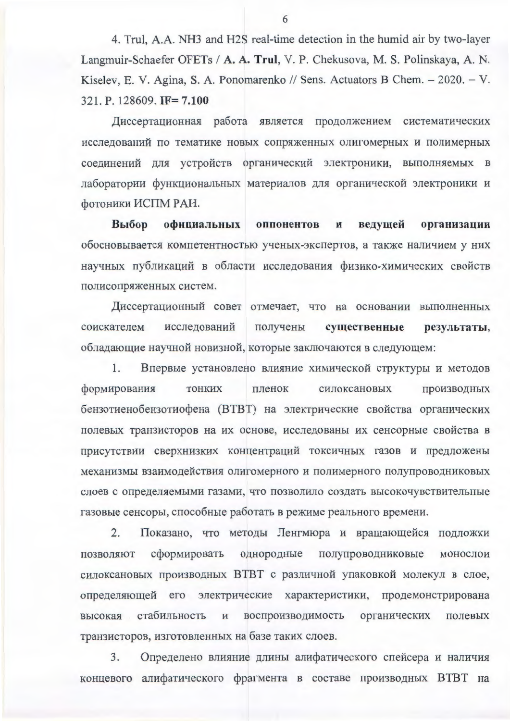4. Trul, A.A. NH3 and H2S real-time detection in the humid air by two-layer Langmuir-Schaefer OFETs / A. A. Trul, V. P. Chekusova, M. S. Polinskaya, A. N. Kiselev, E. V. Agina, S. A. Ponomarenko // Sens. Actuators B Chem. - 2020. - V. 321. P. 128609. IF= 7.100

Диссертационная работа является продолжением систематических исследований по тематике новых сопряженных олигомерных и полимерных соединений для устройств органический электроники, выполняемых в лаборатории функциональных материалов для органической электроники и фотоники ИСПМ РАН.

Выбор официальных оппонентов ведущей организации  $\mathbf{H}$ обосновывается компетентностью ученых-экспертов, а также наличием у них научных публикаций в области исследования физико-химических свойств полисопряженных систем.

Диссертационный совет отмечает, что на основании выполненных соискателем исследований получены существенные результаты, обладающие научной новизной, которые заключаются в следующем:

1. Впервые установлено влияние химической структуры и методов формирования **ТОНКИХ** пленок силоксановых производных бензотиенобензотиофена (ВТВТ) на электрические свойства органических полевых транзисторов на их основе, исследованы их сенсорные свойства в присутствии сверхнизких концентраций токсичных газов и предложены механизмы взаимодействия олигомерного и полимерного полупроводниковых слоев с определяемыми газами, что позволило создать высокочувствительные газовые сенсоры, способные работать в режиме реального времени.

Показано, что методы Ленгмюра и вращающейся подложки 2. однородные полупроводниковые позволяют сформировать монослои силоксановых производных ВТВТ с различной упаковкой молекул в слое, определяющей его электрические характеристики, продемонстрирована стабильность воспроизводимость органических полевых высокая транзисторов, изготовленных на базе таких слоев.

3. Определено влияние длины алифатического спейсера и наличия концевого алифатического фрагмента в составе производных ВТВТ на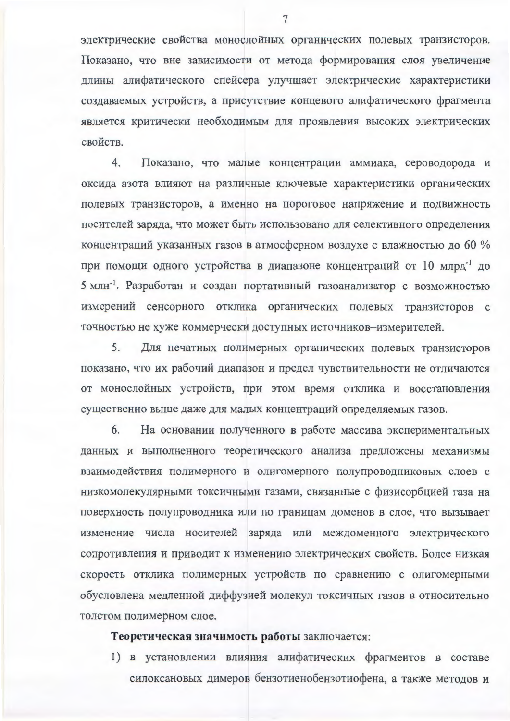электрические свойства монослойных органических полевых транзисторов. Показано, что вне зависимости от метода формирования слоя увеличение длины алифатического спейсера улучшает электрические характеристики создаваемых устройств, а присутствие концевого алифатического фрагмента является критически необходимым для проявления высоких электрических свойств.

Показано, что малые концентрации аммиака, сероводорода и 4. оксида азота влияют на различные ключевые характеристики органических полевых транзисторов, а именно на пороговое напряжение и подвижность носителей заряда, что может быть использовано для селективного определения концентраций указанных газов в атмосферном воздухе с влажностью до 60 % при помощи одного устройства в диапазоне концентраций от 10 млрд<sup>-1</sup> до 5 млн<sup>-1</sup>. Разработан и создан портативный газоанализатор с возможностью измерений сенсорного отклика органических полевых транзисторов с точностью не хуже коммерчески доступных источников-измерителей.

Для печатных полимерных органических полевых транзисторов 5. показано, что их рабочий диапазон и предел чувствительности не отличаются от монослойных устройств, при этом время отклика и восстановления существенно выше даже для малых концентраций определяемых газов.

6. На основании полученного в работе массива экспериментальных данных и выполненного теоретического анализа предложены механизмы взаимодействия полимерного и олигомерного полупроводниковых слоев с низкомолекулярными токсичными газами, связанные с физисорбцией газа на поверхность полупроводника или по границам доменов в слое, что вызывает изменение числа носителей заряда или междоменного электрического сопротивления и приводит к изменению электрических свойств. Более низкая скорость отклика полимерных устройств по сравнению с олигомерными обусловлена медленной диффузией молекул токсичных газов в относительно толстом полимерном слое.

## Теоретическая значимость работы заключается:

1) в установлении влияния алифатических фрагментов в составе силоксановых димеров бензотиенобензотиофена, а также методов и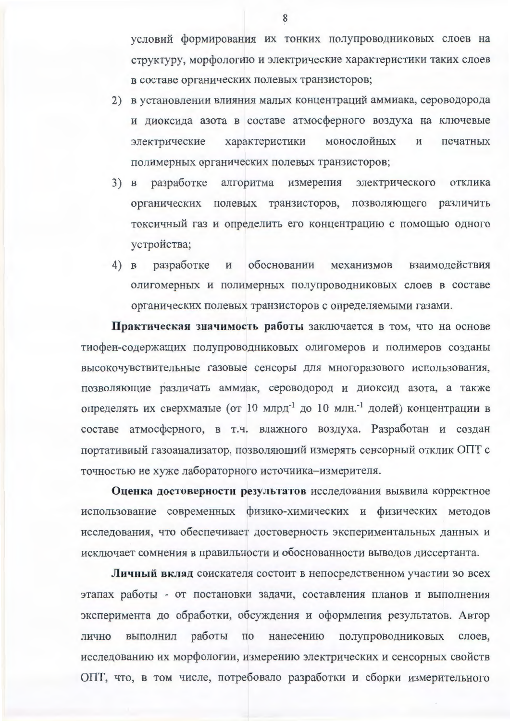условий формирования их тонких полупроводниковых слоев на структуру, морфологию и электрические характеристики таких слоев в составе органических полевых транзисторов;

- 2) в установлении влияния малых концентраций аммиака, сероводорода и диоксида азота в составе атмосферного воздуха на ключевые монослойных электрические характеристики И печатных полимерных органических полевых транзисторов;
- 3) в разработке алгоритма измерения электрического отклика органических полевых транзисторов, позволяющего различить токсичный газ и определить его концентрацию с помощью одного устройства;
- 4) в разработке обосновании взаимодействия И механизмов олигомерных и полимерных полупроводниковых слоев в составе органических полевых транзисторов с определяемыми газами.

Практическая значимость работы заключается в том, что на основе тиофен-содержащих полупроводниковых олигомеров и полимеров созданы высокочувствительные газовые сенсоры для многоразового использования, позволяющие различать аммиак, сероводород и диоксид азота, а также определять их сверхмалые (от 10 млрд<sup>-1</sup> до 10 млн.<sup>-1</sup> долей) концентрации в составе атмосферного, в т.ч. влажного воздуха. Разработан и создан портативный газоанализатор, позволяющий измерять сенсорный отклик ОПТ с точностью не хуже лабораторного источника-измерителя.

Оценка достоверности результатов исследования выявила корректное использование современных физико-химических и физических методов исследования, что обеспечивает достоверность экспериментальных данных и исключает сомнения в правильности и обоснованности выводов диссертанта.

Личный вклад соискателя состоит в непосредственном участии во всех этапах работы - от постановки задачи, составления планов и выполнения эксперимента до обработки, обсуждения и оформления результатов. Автор работы  $\overline{10}$ нанесению полупроводниковых лично выполнил слоев, исследованию их морфологии, измерению электрических и сенсорных свойств ОПТ, что, в том числе, потребовало разработки и сборки измерительного